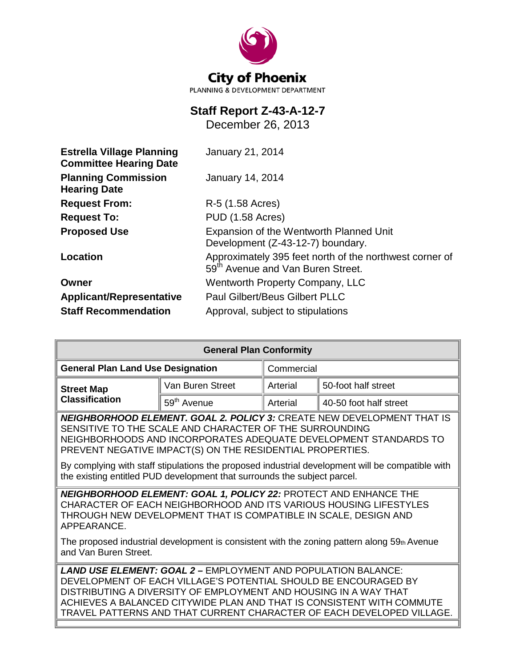

# **Staff Report Z-43-A-12-7**

December 26, 2013

| <b>Estrella Village Planning</b><br><b>Committee Hearing Date</b> | January 21, 2014                                                                                         |  |  |
|-------------------------------------------------------------------|----------------------------------------------------------------------------------------------------------|--|--|
| <b>Planning Commission</b><br><b>Hearing Date</b>                 | <b>January 14, 2014</b>                                                                                  |  |  |
| <b>Request From:</b>                                              | R-5 (1.58 Acres)                                                                                         |  |  |
| <b>Request To:</b>                                                | <b>PUD (1.58 Acres)</b>                                                                                  |  |  |
| <b>Proposed Use</b>                                               | Expansion of the Wentworth Planned Unit<br>Development (Z-43-12-7) boundary.                             |  |  |
| Location                                                          | Approximately 395 feet north of the northwest corner of<br>59 <sup>th</sup> Avenue and Van Buren Street. |  |  |
| Owner                                                             | <b>Wentworth Property Company, LLC</b>                                                                   |  |  |
| <b>Applicant/Representative</b>                                   | <b>Paul Gilbert/Beus Gilbert PLLC</b>                                                                    |  |  |
| <b>Staff Recommendation</b>                                       | Approval, subject to stipulations                                                                        |  |  |

| <b>General Plan Conformity</b>                                                                                                                                                                                                                                                                                                                                                                                                                            |                         |            |                        |  |
|-----------------------------------------------------------------------------------------------------------------------------------------------------------------------------------------------------------------------------------------------------------------------------------------------------------------------------------------------------------------------------------------------------------------------------------------------------------|-------------------------|------------|------------------------|--|
| <b>General Plan Land Use Designation</b>                                                                                                                                                                                                                                                                                                                                                                                                                  |                         | Commercial |                        |  |
| <b>Street Map</b>                                                                                                                                                                                                                                                                                                                                                                                                                                         | Van Buren Street        | Arterial   | 50-foot half street    |  |
| <b>Classification</b>                                                                                                                                                                                                                                                                                                                                                                                                                                     | 59 <sup>th</sup> Avenue | Arterial   | 40-50 foot half street |  |
| <b>NEIGHBORHOOD ELEMENT. GOAL 2. POLICY 3: CREATE NEW DEVELOPMENT THAT IS</b><br>SENSITIVE TO THE SCALE AND CHARACTER OF THE SURROUNDING<br>NEIGHBORHOODS AND INCORPORATES ADEQUATE DEVELOPMENT STANDARDS TO<br>PREVENT NEGATIVE IMPACT(S) ON THE RESIDENTIAL PROPERTIES.<br>By complying with staff stipulations the proposed industrial development will be compatible with<br>the existing entitled PUD development that surrounds the subject parcel. |                         |            |                        |  |
| NEIGHBORHOOD ELEMENT: GOAL 1, POLICY 22: PROTECT AND ENHANCE THE<br>CHARACTER OF EACH NEIGHBORHOOD AND ITS VARIOUS HOUSING LIFESTYLES<br>THROUGH NEW DEVELOPMENT THAT IS COMPATIBLE IN SCALE, DESIGN AND<br>APPEARANCE.<br>The proposed industrial development is consistent with the zoning pattern along $59th$ Avenue<br>and Van Buren Street.                                                                                                         |                         |            |                        |  |
| <b>LAND USE ELEMENT: GOAL 2 - EMPLOYMENT AND POPULATION BALANCE:</b><br>DEVELOPMENT OF EACH VILLAGE'S POTENTIAL SHOULD BE ENCOURAGED BY<br>DISTRIBUTING A DIVERSITY OF EMPLOYMENT AND HOUSING IN A WAY THAT<br>ACHIEVES A BALANCED CITYWIDE PLAN AND THAT IS CONSISTENT WITH COMMUTE<br>TRAVEL PATTERNS AND THAT CURRENT CHARACTER OF EACH DEVELOPED VILLAGE.                                                                                             |                         |            |                        |  |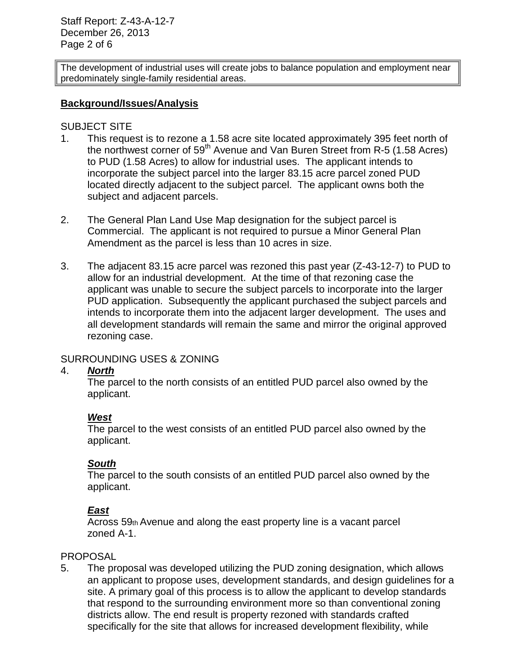Staff Report: Z-43-A-12-7 December 26, 2013 Page 2 of 6

The development of industrial uses will create jobs to balance population and employment near predominately single-family residential areas.

#### **Background/Issues/Analysis**

#### SUBJECT SITE

- 1. This request is to rezone a 1.58 acre site located approximately 395 feet north of the northwest corner of  $59<sup>th</sup>$  Avenue and Van Buren Street from R-5 (1.58 Acres) to PUD (1.58 Acres) to allow for industrial uses. The applicant intends to incorporate the subject parcel into the larger 83.15 acre parcel zoned PUD located directly adjacent to the subject parcel. The applicant owns both the subject and adjacent parcels.
- 2. The General Plan Land Use Map designation for the subject parcel is Commercial. The applicant is not required to pursue a Minor General Plan Amendment as the parcel is less than 10 acres in size.
- 3. The adjacent 83.15 acre parcel was rezoned this past year (Z-43-12-7) to PUD to allow for an industrial development. At the time of that rezoning case the applicant was unable to secure the subject parcels to incorporate into the larger PUD application. Subsequently the applicant purchased the subject parcels and intends to incorporate them into the adjacent larger development. The uses and all development standards will remain the same and mirror the original approved rezoning case.

## SURROUNDING USES & ZONING

#### 4. *North*

The parcel to the north consists of an entitled PUD parcel also owned by the applicant.

## *West*

The parcel to the west consists of an entitled PUD parcel also owned by the applicant.

#### *South*

The parcel to the south consists of an entitled PUD parcel also owned by the applicant.

## *East*

Across 59th Avenue and along the east property line is a vacant parcel zoned A-1.

#### PROPOSAL

5. The proposal was developed utilizing the PUD zoning designation, which allows an applicant to propose uses, development standards, and design guidelines for a site. A primary goal of this process is to allow the applicant to develop standards that respond to the surrounding environment more so than conventional zoning districts allow. The end result is property rezoned with standards crafted specifically for the site that allows for increased development flexibility, while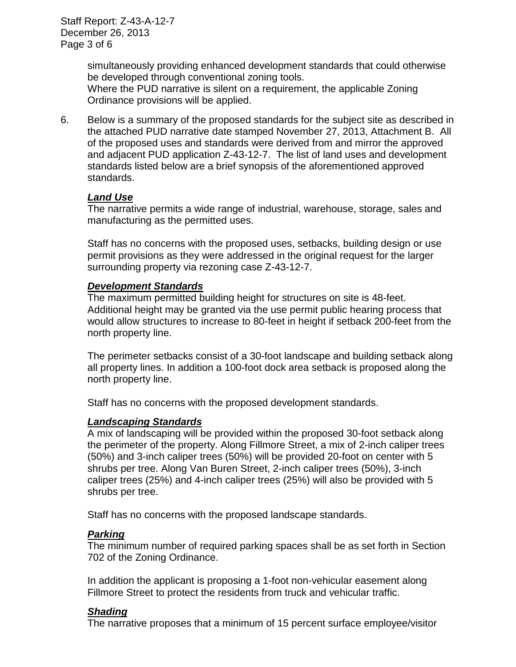Staff Report: Z-43-A-12-7 December 26, 2013 Page 3 of 6

> simultaneously providing enhanced development standards that could otherwise be developed through conventional zoning tools. Where the PUD narrative is silent on a requirement, the applicable Zoning Ordinance provisions will be applied.

6. Below is a summary of the proposed standards for the subject site as described in the attached PUD narrative date stamped November 27, 2013, Attachment B. All of the proposed uses and standards were derived from and mirror the approved and adjacent PUD application Z-43-12-7. The list of land uses and development standards listed below are a brief synopsis of the aforementioned approved standards.

## *Land Use*

The narrative permits a wide range of industrial, warehouse, storage, sales and manufacturing as the permitted uses.

Staff has no concerns with the proposed uses, setbacks, building design or use permit provisions as they were addressed in the original request for the larger surrounding property via rezoning case Z-43-12-7.

## *Development Standards*

The maximum permitted building height for structures on site is 48-feet. Additional height may be granted via the use permit public hearing process that would allow structures to increase to 80-feet in height if setback 200-feet from the north property line.

The perimeter setbacks consist of a 30-foot landscape and building setback along all property lines. In addition a 100-foot dock area setback is proposed along the north property line.

Staff has no concerns with the proposed development standards.

## *Landscaping Standards*

A mix of landscaping will be provided within the proposed 30-foot setback along the perimeter of the property. Along Fillmore Street, a mix of 2-inch caliper trees (50%) and 3-inch caliper trees (50%) will be provided 20-foot on center with 5 shrubs per tree. Along Van Buren Street, 2-inch caliper trees (50%), 3-inch caliper trees (25%) and 4-inch caliper trees (25%) will also be provided with 5 shrubs per tree.

Staff has no concerns with the proposed landscape standards.

## *Parking*

The minimum number of required parking spaces shall be as set forth in Section 702 of the Zoning Ordinance.

In addition the applicant is proposing a 1-foot non-vehicular easement along Fillmore Street to protect the residents from truck and vehicular traffic.

# *Shading*

The narrative proposes that a minimum of 15 percent surface employee/visitor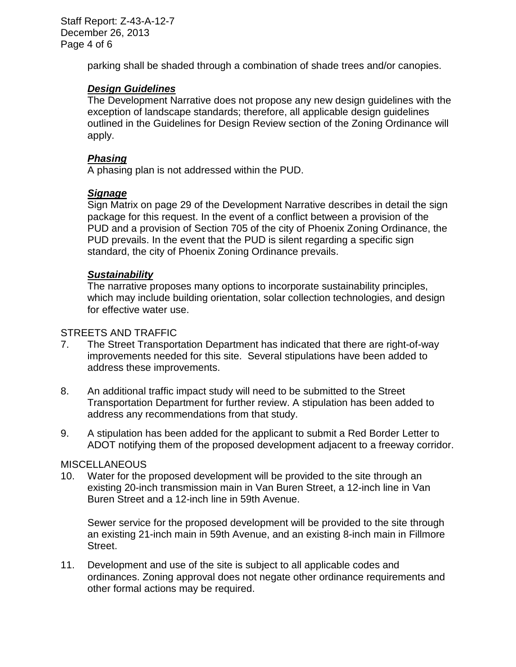parking shall be shaded through a combination of shade trees and/or canopies.

# *Design Guidelines*

The Development Narrative does not propose any new design guidelines with the exception of landscape standards; therefore, all applicable design guidelines outlined in the Guidelines for Design Review section of the Zoning Ordinance will apply.

# *Phasing*

A phasing plan is not addressed within the PUD.

## *Signage*

Sign Matrix on page 29 of the Development Narrative describes in detail the sign package for this request. In the event of a conflict between a provision of the PUD and a provision of Section 705 of the city of Phoenix Zoning Ordinance, the PUD prevails. In the event that the PUD is silent regarding a specific sign standard, the city of Phoenix Zoning Ordinance prevails.

## *Sustainability*

The narrative proposes many options to incorporate sustainability principles, which may include building orientation, solar collection technologies, and design for effective water use.

#### STREETS AND TRAFFIC

- 7. The Street Transportation Department has indicated that there are right-of-way improvements needed for this site. Several stipulations have been added to address these improvements.
- 8. An additional traffic impact study will need to be submitted to the Street Transportation Department for further review. A stipulation has been added to address any recommendations from that study.
- 9. A stipulation has been added for the applicant to submit a Red Border Letter to ADOT notifying them of the proposed development adjacent to a freeway corridor.

## **MISCELLANEOUS**

10. Water for the proposed development will be provided to the site through an existing 20-inch transmission main in Van Buren Street, a 12-inch line in Van Buren Street and a 12-inch line in 59th Avenue.

Sewer service for the proposed development will be provided to the site through an existing 21-inch main in 59th Avenue, and an existing 8-inch main in Fillmore Street.

11. Development and use of the site is subject to all applicable codes and ordinances. Zoning approval does not negate other ordinance requirements and other formal actions may be required.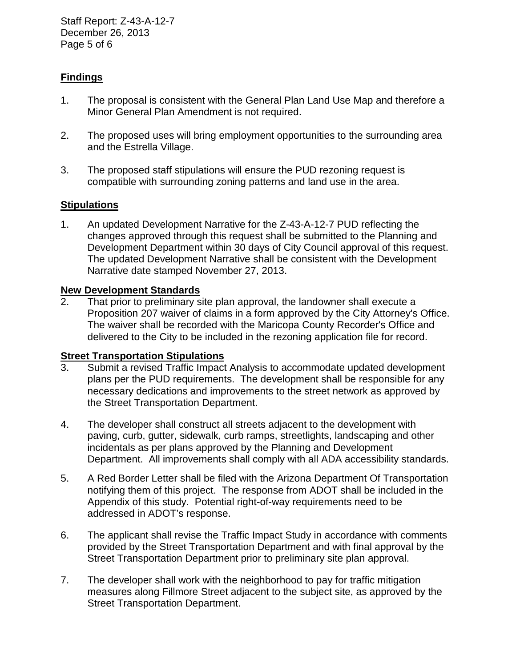Staff Report: Z-43-A-12-7 December 26, 2013 Page 5 of 6

# **Findings**

- 1. The proposal is consistent with the General Plan Land Use Map and therefore a Minor General Plan Amendment is not required.
- 2. The proposed uses will bring employment opportunities to the surrounding area and the Estrella Village.
- 3. The proposed staff stipulations will ensure the PUD rezoning request is compatible with surrounding zoning patterns and land use in the area.

## **Stipulations**

1. An updated Development Narrative for the Z-43-A-12-7 PUD reflecting the changes approved through this request shall be submitted to the Planning and Development Department within 30 days of City Council approval of this request. The updated Development Narrative shall be consistent with the Development Narrative date stamped November 27, 2013.

# **New Development Standards**<br>2. That prior to preliminary si

That prior to preliminary site plan approval, the landowner shall execute a Proposition 207 waiver of claims in a form approved by the City Attorney's Office. The waiver shall be recorded with the Maricopa County Recorder's Office and delivered to the City to be included in the rezoning application file for record.

## **Street Transportation Stipulations**

- 3. Submit a revised Traffic Impact Analysis to accommodate updated development plans per the PUD requirements. The development shall be responsible for any necessary dedications and improvements to the street network as approved by the Street Transportation Department.
- 4. The developer shall construct all streets adjacent to the development with paving, curb, gutter, sidewalk, curb ramps, streetlights, landscaping and other incidentals as per plans approved by the Planning and Development Department. All improvements shall comply with all ADA accessibility standards.
- 5. A Red Border Letter shall be filed with the Arizona Department Of Transportation notifying them of this project. The response from ADOT shall be included in the Appendix of this study. Potential right-of-way requirements need to be addressed in ADOT's response.
- 6. The applicant shall revise the Traffic Impact Study in accordance with comments provided by the Street Transportation Department and with final approval by the Street Transportation Department prior to preliminary site plan approval.
- 7. The developer shall work with the neighborhood to pay for traffic mitigation measures along Fillmore Street adjacent to the subject site, as approved by the Street Transportation Department.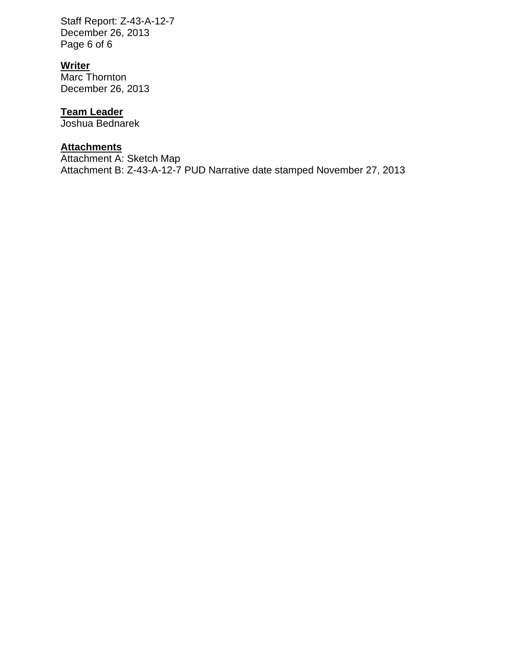Staff Report: Z-43-A-12-7 December 26, 2013 Page 6 of 6

# **Writer**

Marc Thornton December 26, 2013

# **Team Leader**

Joshua Bednarek

#### **Attachments**

Attachment A: Sketch Map Attachment B: Z-43-A-12-7 PUD Narrative date stamped November 27, 2013